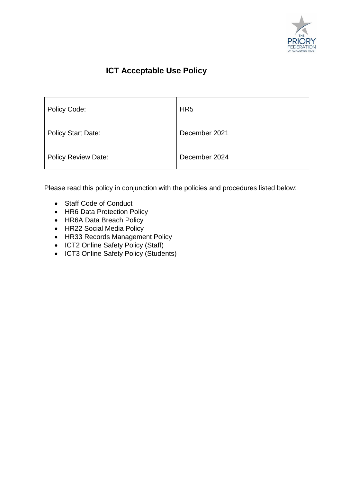

# **ICT Acceptable Use Policy**

| Policy Code:               | HR <sub>5</sub> |
|----------------------------|-----------------|
| <b>Policy Start Date:</b>  | December 2021   |
| <b>Policy Review Date:</b> | December 2024   |

Please read this policy in conjunction with the policies and procedures listed below:

- Staff Code of Conduct
- HR6 Data Protection Policy
- HR6A Data Breach Policy
- HR22 Social Media Policy
- HR33 Records Management Policy
- ICT2 Online Safety Policy (Staff)
- ICT3 Online Safety Policy (Students)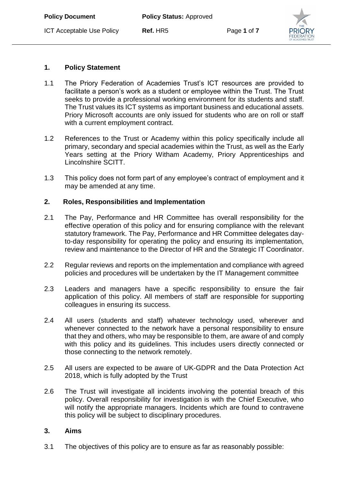# **1. Policy Statement**

- 1.1 The Priory Federation of Academies Trust's ICT resources are provided to facilitate a person's work as a student or employee within the Trust. The Trust seeks to provide a professional working environment for its students and staff. The Trust values its ICT systems as important business and educational assets. Priory Microsoft accounts are only issued for students who are on roll or staff with a current employment contract.
- 1.2 References to the Trust or Academy within this policy specifically include all primary, secondary and special academies within the Trust, as well as the Early Years setting at the Priory Witham Academy, Priory Apprenticeships and Lincolnshire SCITT.
- 1.3 This policy does not form part of any employee's contract of employment and it may be amended at any time.

#### **2. Roles, Responsibilities and Implementation**

- 2.1 The Pay, Performance and HR Committee has overall responsibility for the effective operation of this policy and for ensuring compliance with the relevant statutory framework. The Pay, Performance and HR Committee delegates dayto-day responsibility for operating the policy and ensuring its implementation, review and maintenance to the Director of HR and the Strategic IT Coordinator.
- 2.2 Regular reviews and reports on the implementation and compliance with agreed policies and procedures will be undertaken by the IT Management committee
- 2.3 Leaders and managers have a specific responsibility to ensure the fair application of this policy. All members of staff are responsible for supporting colleagues in ensuring its success.
- 2.4 All users (students and staff) whatever technology used, wherever and whenever connected to the network have a personal responsibility to ensure that they and others, who may be responsible to them, are aware of and comply with this policy and its guidelines. This includes users directly connected or those connecting to the network remotely.
- 2.5 All users are expected to be aware of UK-GDPR and the Data Protection Act 2018, which is fully adopted by the Trust
- 2.6 The Trust will investigate all incidents involving the potential breach of this policy. Overall responsibility for investigation is with the Chief Executive, who will notify the appropriate managers. Incidents which are found to contravene this policy will be subject to disciplinary procedures.

#### **3. Aims**

3.1 The objectives of this policy are to ensure as far as reasonably possible: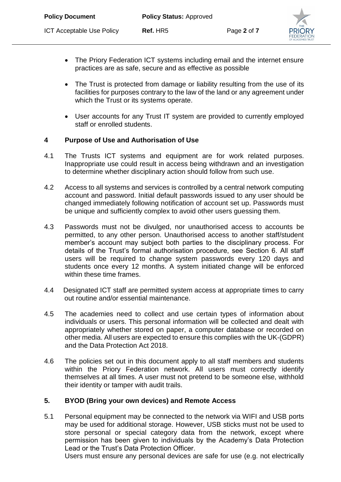- The Priory Federation ICT systems including email and the internet ensure practices are as safe, secure and as effective as possible
- The Trust is protected from damage or liability resulting from the use of its facilities for purposes contrary to the law of the land or any agreement under which the Trust or its systems operate.
- User accounts for any Trust IT system are provided to currently employed staff or enrolled students.

# **4 Purpose of Use and Authorisation of Use**

- 4.1 The Trusts ICT systems and equipment are for work related purposes. Inappropriate use could result in access being withdrawn and an investigation to determine whether disciplinary action should follow from such use.
- 4.2 Access to all systems and services is controlled by a central network computing account and password. Initial default passwords issued to any user should be changed immediately following notification of account set up. Passwords must be unique and sufficiently complex to avoid other users guessing them.
- 4.3 Passwords must not be divulged, nor unauthorised access to accounts be permitted, to any other person. Unauthorised access to another staff/student member's account may subject both parties to the disciplinary process. For details of the Trust's formal authorisation procedure, see Section 6. All staff users will be required to change system passwords every 120 days and students once every 12 months. A system initiated change will be enforced within these time frames.
- 4.4 Designated ICT staff are permitted system access at appropriate times to carry out routine and/or essential maintenance.
- 4.5 The academies need to collect and use certain types of information about individuals or users. This personal information will be collected and dealt with appropriately whether stored on paper, a computer database or recorded on other media. All users are expected to ensure this complies with the UK-(GDPR) and the Data Protection Act 2018.
- 4.6 The policies set out in this document apply to all staff members and students within the Priory Federation network. All users must correctly identify themselves at all times. A user must not pretend to be someone else, withhold their identity or tamper with audit trails.

# **5. BYOD (Bring your own devices) and Remote Access**

5.1 Personal equipment may be connected to the network via WIFI and USB ports may be used for additional storage. However, USB sticks must not be used to store personal or special category data from the network, except where permission has been given to individuals by the Academy's Data Protection Lead or the Trust's Data Protection Officer.

Users must ensure any personal devices are safe for use (e.g. not electrically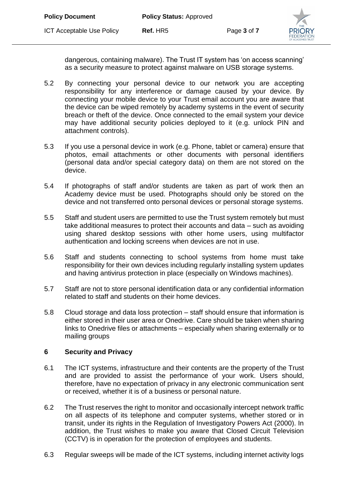

dangerous, containing malware). The Trust IT system has 'on access scanning' as a security measure to protect against malware on USB storage systems.

- 5.2 By connecting your personal device to our network you are accepting responsibility for any interference or damage caused by your device. By connecting your mobile device to your Trust email account you are aware that the device can be wiped remotely by academy systems in the event of security breach or theft of the device. Once connected to the email system your device may have additional security policies deployed to it (e.g. unlock PIN and attachment controls).
- 5.3 If you use a personal device in work (e.g. Phone, tablet or camera) ensure that photos, email attachments or other documents with personal identifiers (personal data and/or special category data) on them are not stored on the device.
- 5.4 If photographs of staff and/or students are taken as part of work then an Academy device must be used. Photographs should only be stored on the device and not transferred onto personal devices or personal storage systems.
- 5.5 Staff and student users are permitted to use the Trust system remotely but must take additional measures to protect their accounts and data – such as avoiding using shared desktop sessions with other home users, using multifactor authentication and locking screens when devices are not in use.
- 5.6 Staff and students connecting to school systems from home must take responsibility for their own devices including regularly installing system updates and having antivirus protection in place (especially on Windows machines).
- 5.7 Staff are not to store personal identification data or any confidential information related to staff and students on their home devices.
- 5.8 Cloud storage and data loss protection staff should ensure that information is either stored in their user area or Onedrive. Care should be taken when sharing links to Onedrive files or attachments – especially when sharing externally or to mailing groups

#### **6 Security and Privacy**

- 6.1 The ICT systems, infrastructure and their contents are the property of the Trust and are provided to assist the performance of your work. Users should, therefore, have no expectation of privacy in any electronic communication sent or received, whether it is of a business or personal nature.
- 6.2 The Trust reserves the right to monitor and occasionally intercept network traffic on all aspects of its telephone and computer systems, whether stored or in transit, under its rights in the Regulation of Investigatory Powers Act (2000). In addition, the Trust wishes to make you aware that Closed Circuit Television (CCTV) is in operation for the protection of employees and students.
- 6.3 Regular sweeps will be made of the ICT systems, including internet activity logs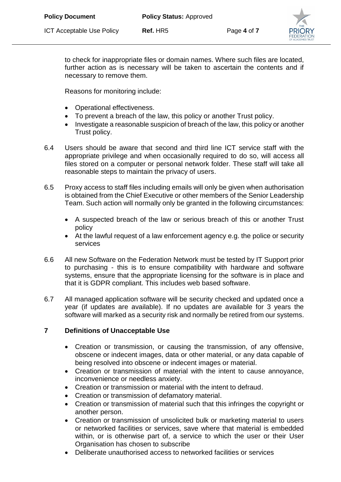

to check for inappropriate files or domain names. Where such files are located, further action as is necessary will be taken to ascertain the contents and if necessary to remove them.

Reasons for monitoring include:

- Operational effectiveness.
- To prevent a breach of the law, this policy or another Trust policy.
- Investigate a reasonable suspicion of breach of the law, this policy or another Trust policy.
- 6.4 Users should be aware that second and third line ICT service staff with the appropriate privilege and when occasionally required to do so, will access all files stored on a computer or personal network folder. These staff will take all reasonable steps to maintain the privacy of users.
- 6.5 Proxy access to staff files including emails will only be given when authorisation is obtained from the Chief Executive or other members of the Senior Leadership Team. Such action will normally only be granted in the following circumstances:
	- A suspected breach of the law or serious breach of this or another Trust policy
	- At the lawful request of a law enforcement agency e.g. the police or security services
- 6.6 All new Software on the Federation Network must be tested by IT Support prior to purchasing - this is to ensure compatibility with hardware and software systems, ensure that the appropriate licensing for the software is in place and that it is GDPR compliant. This includes web based software.
- 6.7 All managed application software will be security checked and updated once a year (if updates are available). If no updates are available for 3 years the software will marked as a security risk and normally be retired from our systems.

# **7 Definitions of Unacceptable Use**

- Creation or transmission, or causing the transmission, of any offensive, obscene or indecent images, data or other material, or any data capable of being resolved into obscene or indecent images or material.
- Creation or transmission of material with the intent to cause annoyance, inconvenience or needless anxiety.
- Creation or transmission or material with the intent to defraud.
- Creation or transmission of defamatory material.
- Creation or transmission of material such that this infringes the copyright or another person.
- Creation or transmission of unsolicited bulk or marketing material to users or networked facilities or services, save where that material is embedded within, or is otherwise part of, a service to which the user or their User Organisation has chosen to subscribe
- Deliberate unauthorised access to networked facilities or services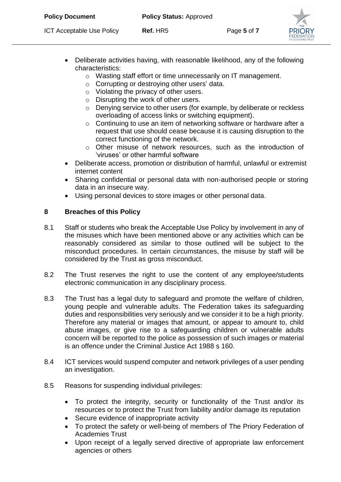- Deliberate activities having, with reasonable likelihood, any of the following characteristics:
	- o Wasting staff effort or time unnecessarily on IT management.
	- o Corrupting or destroying other users' data.
	- o Violating the privacy of other users.
	- o Disrupting the work of other users.
	- o Denying service to other users (for example, by deliberate or reckless overloading of access links or switching equipment).
	- o Continuing to use an item of networking software or hardware after a request that use should cease because it is causing disruption to the correct functioning of the network.
	- o Other misuse of network resources, such as the introduction of 'viruses' or other harmful software
- Deliberate access, promotion or distribution of harmful, unlawful or extremist internet content
- Sharing confidential or personal data with non-authorised people or storing data in an insecure way.
- Using personal devices to store images or other personal data.

# **8 Breaches of this Policy**

- 8.1 Staff or students who break the Acceptable Use Policy by involvement in any of the misuses which have been mentioned above or any activities which can be reasonably considered as similar to those outlined will be subject to the misconduct procedures. In certain circumstances, the misuse by staff will be considered by the Trust as gross misconduct.
- 8.2 The Trust reserves the right to use the content of any employee/students electronic communication in any disciplinary process.
- 8.3 The Trust has a legal duty to safeguard and promote the welfare of children, young people and vulnerable adults. The Federation takes its safeguarding duties and responsibilities very seriously and we consider it to be a high priority. Therefore any material or images that amount, or appear to amount to, child abuse images, or give rise to a safeguarding children or vulnerable adults concern will be reported to the police as possession of such images or material is an offence under the Criminal Justice Act 1988 s 160.
- 8.4 ICT services would suspend computer and network privileges of a user pending an investigation.
- 8.5 Reasons for suspending individual privileges:
	- To protect the integrity, security or functionality of the Trust and/or its resources or to protect the Trust from liability and/or damage its reputation
	- Secure evidence of inappropriate activity
	- To protect the safety or well-being of members of The Priory Federation of Academies Trust
	- Upon receipt of a legally served directive of appropriate law enforcement agencies or others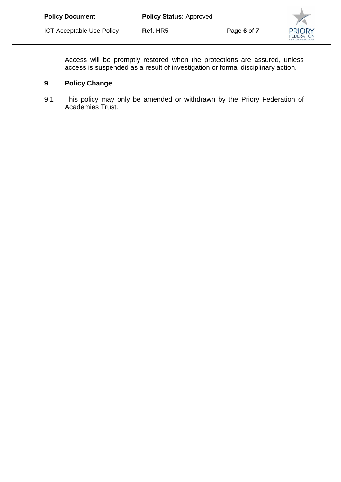

Access will be promptly restored when the protections are assured, unless access is suspended as a result of investigation or formal disciplinary action.

# **9 Policy Change**

9.1 This policy may only be amended or withdrawn by the Priory Federation of Academies Trust.